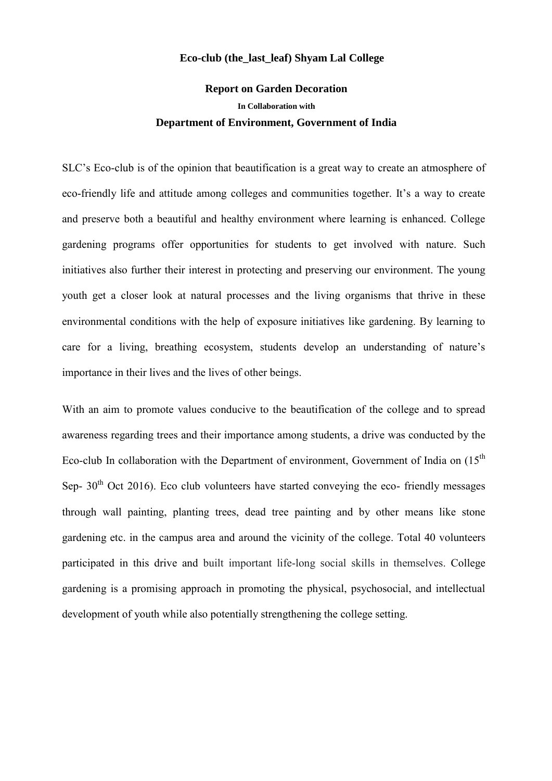## **Eco-club (the\_last\_leaf) Shyam Lal College**

## **Report on Garden Decoration In Collaboration with Department of Environment, Government of India**

SLC's Eco-club is of the opinion that beautification is a great way to create an atmosphere of eco-friendly life and attitude among colleges and communities together. It's a way to create and preserve both a beautiful and healthy environment where learning is enhanced. College gardening programs offer opportunities for students to get involved with nature. Such initiatives also further their interest in protecting and preserving our environment. The young youth get a closer look at natural processes and the living organisms that thrive in these environmental conditions with the help of exposure initiatives like gardening. By learning to care for a living, breathing ecosystem, students develop an understanding of nature's importance in their lives and the lives of other beings.

With an aim to promote values conducive to the beautification of the college and to spread awareness regarding trees and their importance among students, a drive was conducted by the Eco-club In collaboration with the Department of environment, Government of India on  $(15<sup>th</sup>$ Sep-  $30<sup>th</sup>$  Oct 2016). Eco club volunteers have started conveying the eco- friendly messages through wall painting, planting trees, dead tree painting and by other means like stone gardening etc. in the campus area and around the vicinity of the college. Total 40 volunteers participated in this drive and built important life-long social skills in themselves. College gardening is a promising approach in promoting the physical, psychosocial, and intellectual development of youth while also potentially strengthening the college setting.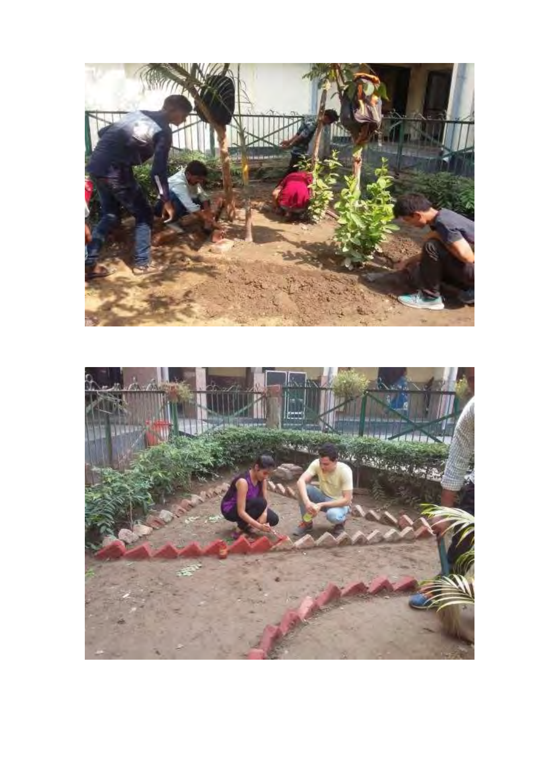

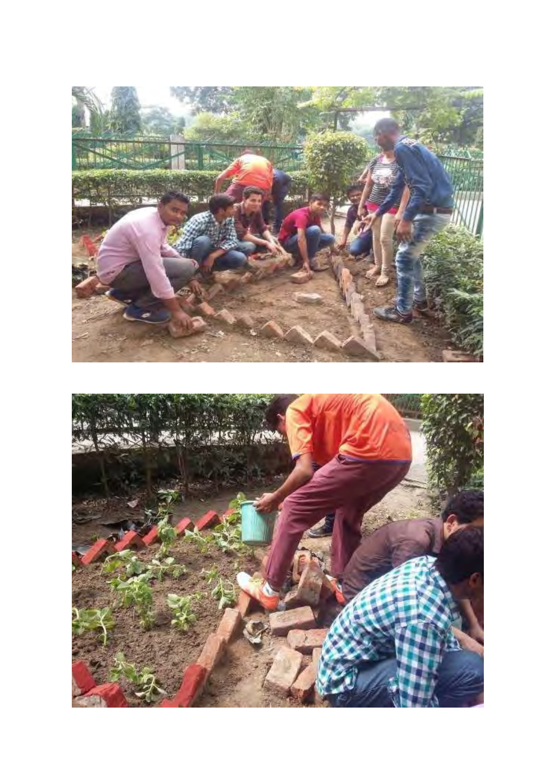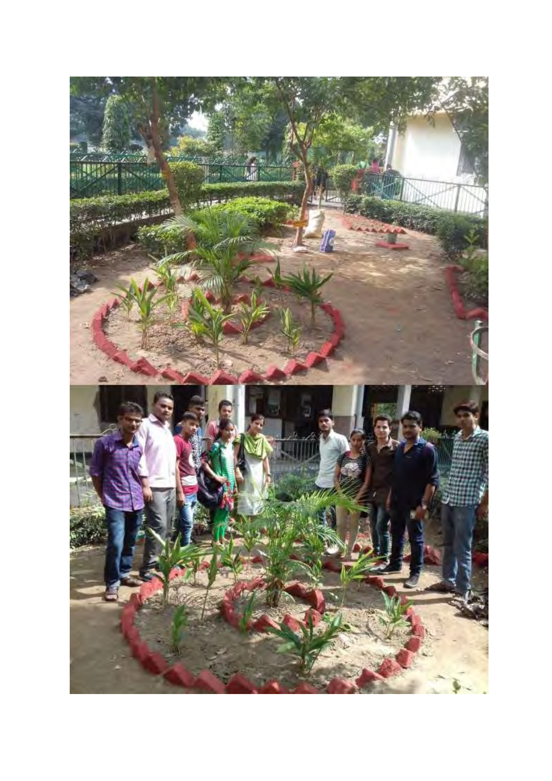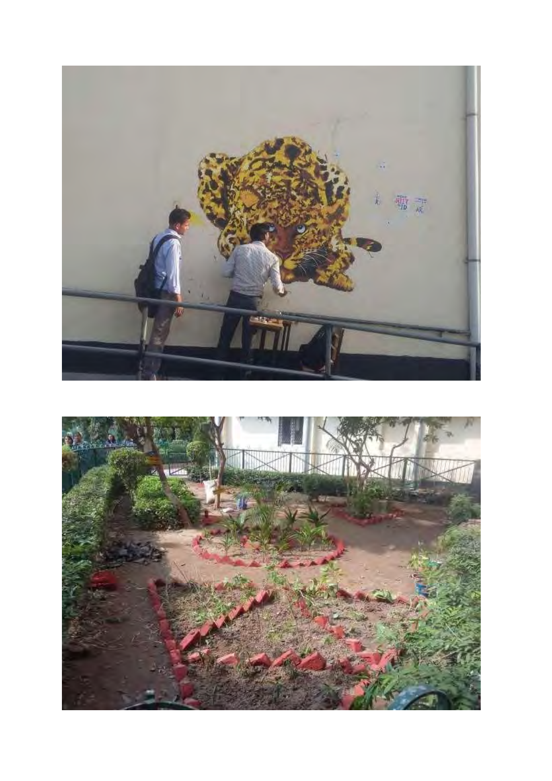

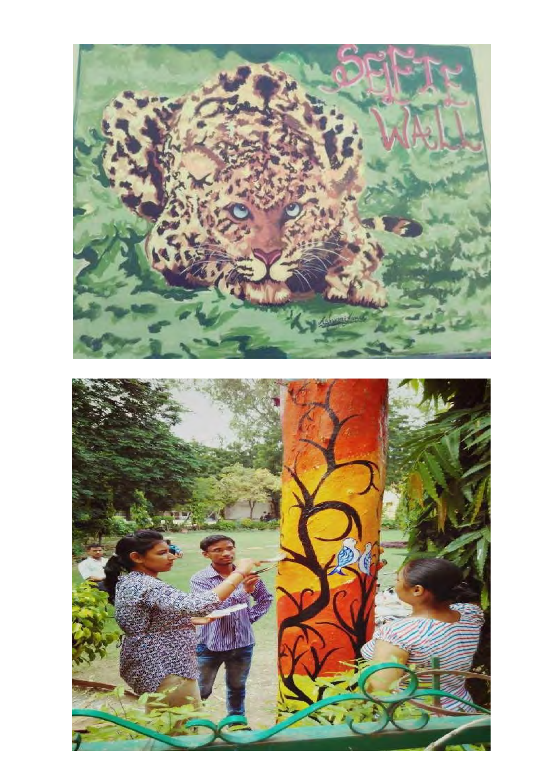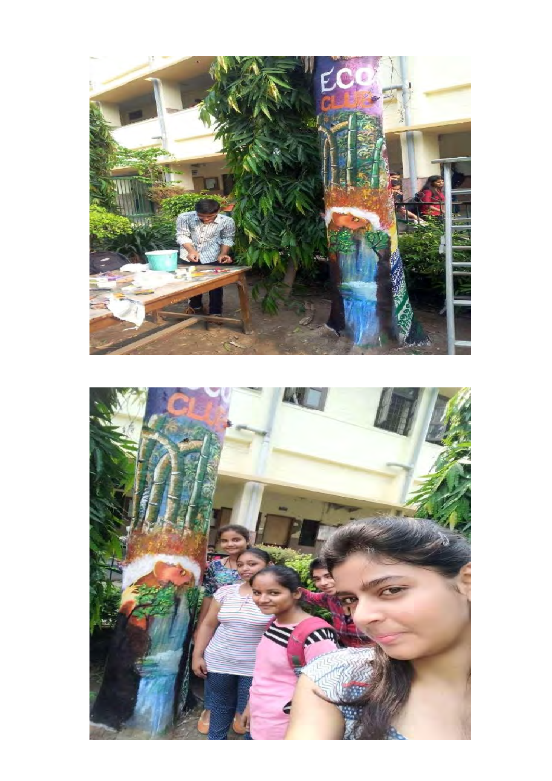

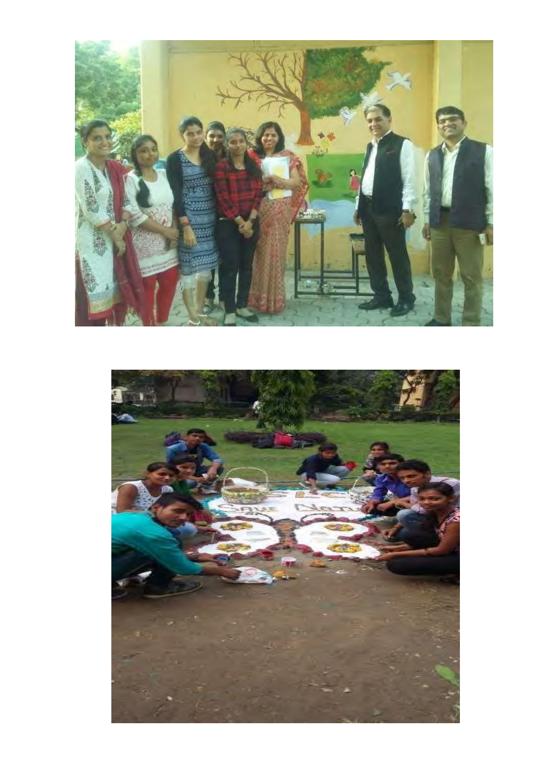

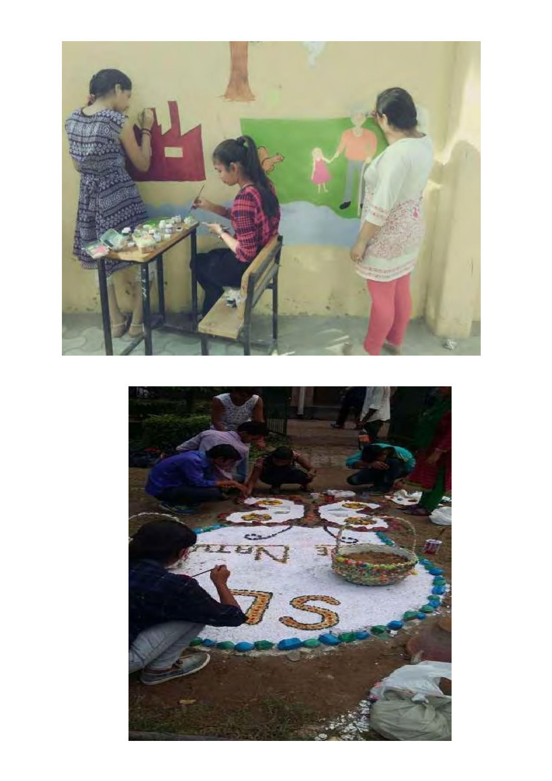